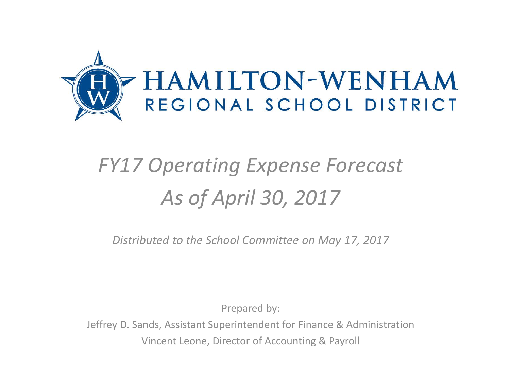

## *FY17 Operating Expense Forecast As of April 30, 2017*

*Distributed to the School Committee on May 17, 2017*

Prepared by:

Jeffrey D. Sands, Assistant Superintendent for Finance & Administration Vincent Leone, Director of Accounting & Payroll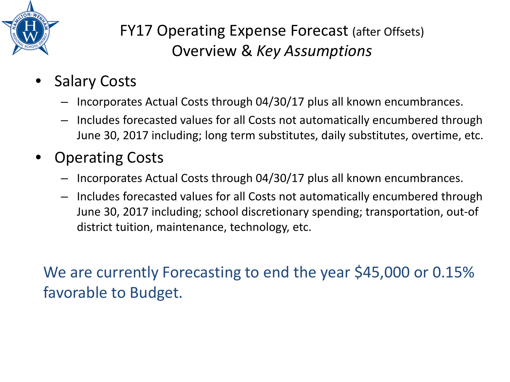

## FY17 Operating Expense Forecast (after Offsets) Overview & *Key Assumptions*

- **Salary Costs** 
	- Incorporates Actual Costs through 04/30/17 plus all known encumbrances.
	- Includes forecasted values for all Costs not automatically encumbered through June 30, 2017 including; long term substitutes, daily substitutes, overtime, etc.
- Operating Costs
	- Incorporates Actual Costs through 04/30/17 plus all known encumbrances.
	- Includes forecasted values for all Costs not automatically encumbered through June 30, 2017 including; school discretionary spending; transportation, out-of district tuition, maintenance, technology, etc.

We are currently Forecasting to end the year \$45,000 or 0.15% favorable to Budget.